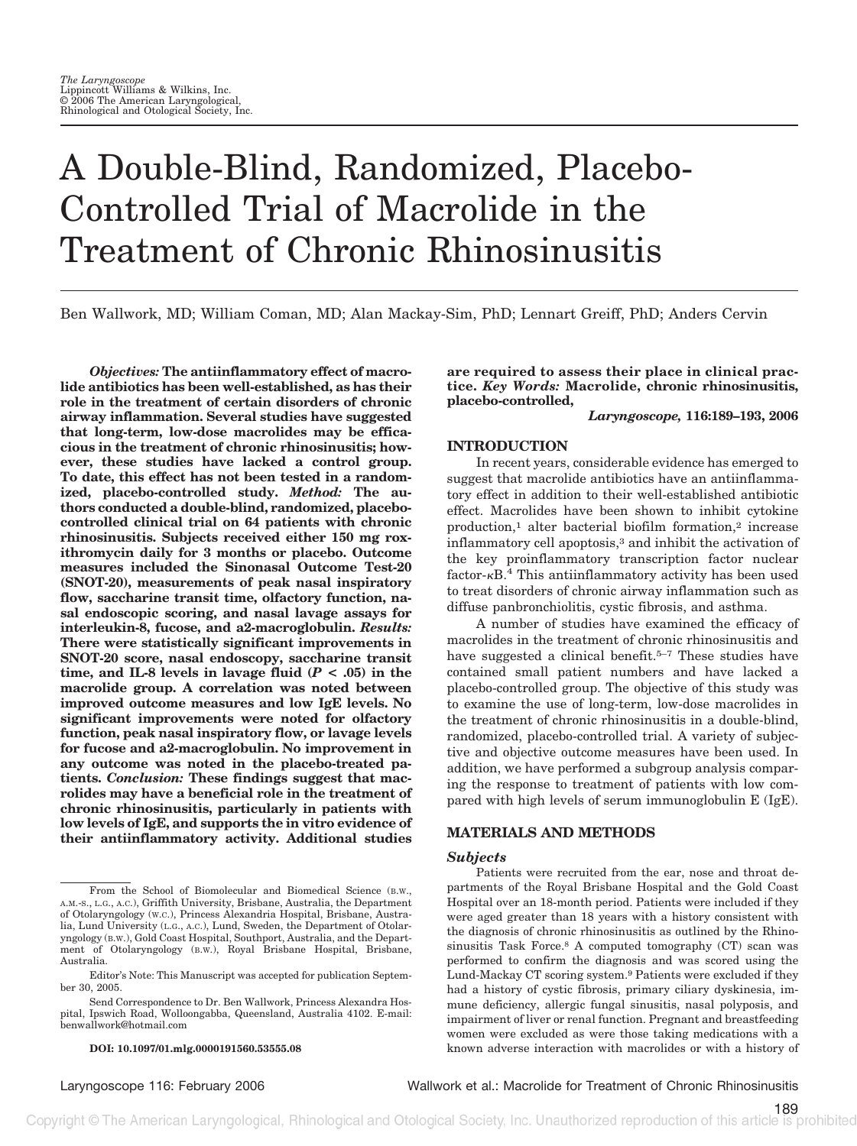# A Double-Blind, Randomized, Placebo-Controlled Trial of Macrolide in the Treatment of Chronic Rhinosinusitis

Ben Wallwork, MD; William Coman, MD; Alan Mackay-Sim, PhD; Lennart Greiff, PhD; Anders Cervin

*Objectives:* **The antiinflammatory effect of macrolide antibiotics has been well-established, as has their role in the treatment of certain disorders of chronic airway inflammation. Several studies have suggested that long-term, low-dose macrolides may be efficacious in the treatment of chronic rhinosinusitis; however, these studies have lacked a control group. To date, this effect has not been tested in a randomized, placebo-controlled study.** *Method:* **The authors conducted a double-blind, randomized, placebocontrolled clinical trial on 64 patients with chronic rhinosinusitis. Subjects received either 150 mg roxithromycin daily for 3 months or placebo. Outcome measures included the Sinonasal Outcome Test-20 (SNOT-20), measurements of peak nasal inspiratory flow, saccharine transit time, olfactory function, nasal endoscopic scoring, and nasal lavage assays for interleukin-8, fucose, and a2-macroglobulin.** *Results:* **There were statistically significant improvements in SNOT-20 score, nasal endoscopy, saccharine transit time, and IL-8 levels in lavage fluid (***P* **< .05) in the macrolide group. A correlation was noted between improved outcome measures and low IgE levels. No significant improvements were noted for olfactory function, peak nasal inspiratory flow, or lavage levels for fucose and a2-macroglobulin. No improvement in any outcome was noted in the placebo-treated patients.** *Conclusion:* **These findings suggest that macrolides may have a beneficial role in the treatment of chronic rhinosinusitis, particularly in patients with low levels of IgE, and supports the in vitro evidence of their antiinflammatory activity. Additional studies**

**DOI: 10.1097/01.mlg.0000191560.53555.08**

**are required to assess their place in clinical practice.** *Key Words:* **Macrolide, chronic rhinosinusitis, placebo-controlled,**

*Laryngoscope,* **116:189–193, 2006**

# **INTRODUCTION**

In recent years, considerable evidence has emerged to suggest that macrolide antibiotics have an antiinflammatory effect in addition to their well-established antibiotic effect. Macrolides have been shown to inhibit cytokine production,1 alter bacterial biofilm formation,2 increase inflammatory cell apoptosis,<sup>3</sup> and inhibit the activation of the key proinflammatory transcription factor nuclear factor- $\kappa$ B.<sup>4</sup> This antiinflammatory activity has been used to treat disorders of chronic airway inflammation such as diffuse panbronchiolitis, cystic fibrosis, and asthma.

A number of studies have examined the efficacy of macrolides in the treatment of chronic rhinosinusitis and have suggested a clinical benefit.<sup>5–7</sup> These studies have contained small patient numbers and have lacked a placebo-controlled group. The objective of this study was to examine the use of long-term, low-dose macrolides in the treatment of chronic rhinosinusitis in a double-blind, randomized, placebo-controlled trial. A variety of subjective and objective outcome measures have been used. In addition, we have performed a subgroup analysis comparing the response to treatment of patients with low compared with high levels of serum immunoglobulin E (IgE).

# **MATERIALS AND METHODS**

# *Subjects*

Patients were recruited from the ear, nose and throat departments of the Royal Brisbane Hospital and the Gold Coast Hospital over an 18-month period. Patients were included if they were aged greater than 18 years with a history consistent with the diagnosis of chronic rhinosinusitis as outlined by the Rhinosinusitis Task Force.<sup>8</sup> A computed tomography (CT) scan was performed to confirm the diagnosis and was scored using the Lund-Mackay CT scoring system.9 Patients were excluded if they had a history of cystic fibrosis, primary ciliary dyskinesia, immune deficiency, allergic fungal sinusitis, nasal polyposis, and impairment of liver or renal function. Pregnant and breastfeeding women were excluded as were those taking medications with a known adverse interaction with macrolides or with a history of

From the School of Biomolecular and Biomedical Science (B.W., A.M.-S., L.G., A.C.), Griffith University, Brisbane, Australia, the Department of Otolaryngology (W.C.), Princess Alexandria Hospital, Brisbane, Australia, Lund University (L.G., A.C.), Lund, Sweden, the Department of Otolaryngology (B.W.), Gold Coast Hospital, Southport, Australia, and the Department of Otolaryngology (B.W.), Royal Brisbane Hospital, Brisbane, Australia.

Editor's Note: This Manuscript was accepted for publication September 30, 2005.

Send Correspondence to Dr. Ben Wallwork, Princess Alexandra Hospital, Ipswich Road, Wolloongabba, Queensland, Australia 4102. E-mail: benwallwork@hotmail.com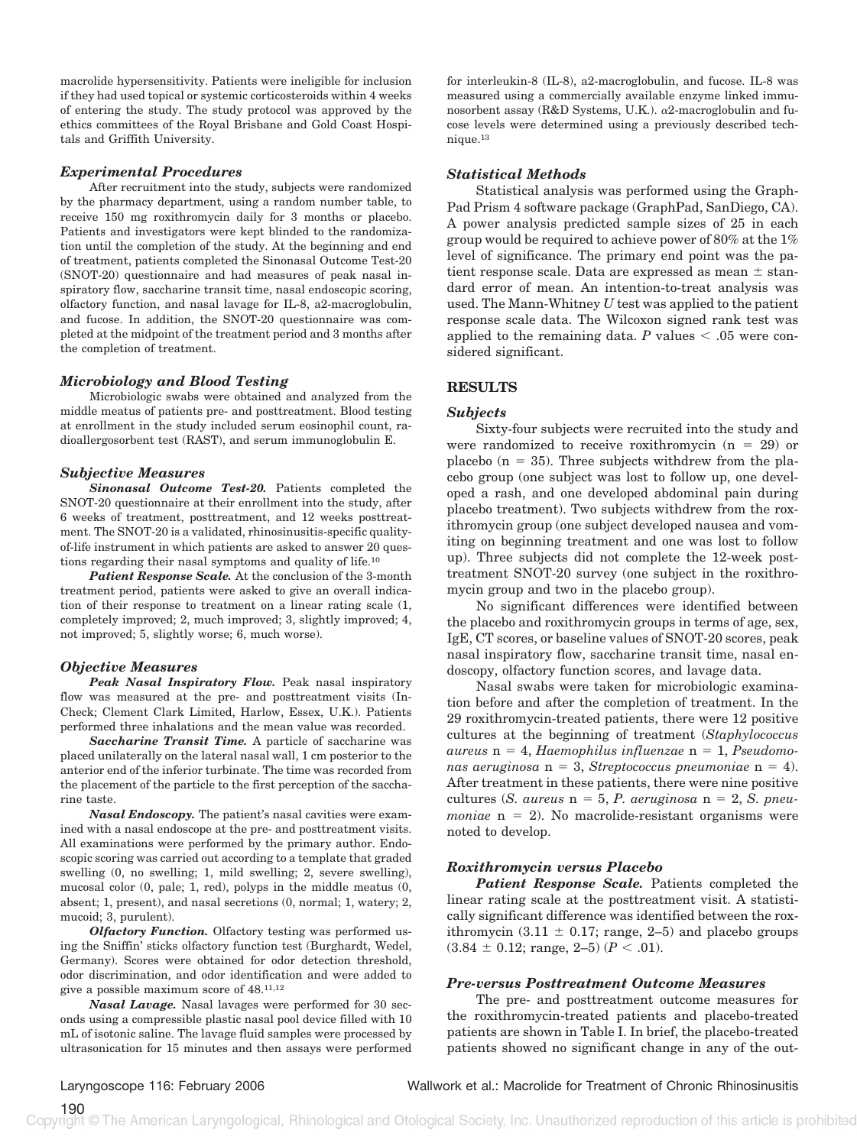macrolide hypersensitivity. Patients were ineligible for inclusion if they had used topical or systemic corticosteroids within 4 weeks of entering the study. The study protocol was approved by the ethics committees of the Royal Brisbane and Gold Coast Hospitals and Griffith University.

#### *Experimental Procedures*

After recruitment into the study, subjects were randomized by the pharmacy department, using a random number table, to receive 150 mg roxithromycin daily for 3 months or placebo. Patients and investigators were kept blinded to the randomization until the completion of the study. At the beginning and end of treatment, patients completed the Sinonasal Outcome Test-20 (SNOT-20) questionnaire and had measures of peak nasal inspiratory flow, saccharine transit time, nasal endoscopic scoring, olfactory function, and nasal lavage for IL-8, a2-macroglobulin, and fucose. In addition, the SNOT-20 questionnaire was completed at the midpoint of the treatment period and 3 months after the completion of treatment.

#### *Microbiology and Blood Testing*

Microbiologic swabs were obtained and analyzed from the middle meatus of patients pre- and posttreatment. Blood testing at enrollment in the study included serum eosinophil count, radioallergosorbent test (RAST), and serum immunoglobulin E.

#### *Subjective Measures*

*Sinonasal Outcome Test-20.* Patients completed the SNOT-20 questionnaire at their enrollment into the study, after 6 weeks of treatment, posttreatment, and 12 weeks posttreatment. The SNOT-20 is a validated, rhinosinusitis-specific qualityof-life instrument in which patients are asked to answer 20 questions regarding their nasal symptoms and quality of life.10

*Patient Response Scale.* At the conclusion of the 3-month treatment period, patients were asked to give an overall indication of their response to treatment on a linear rating scale (1, completely improved; 2, much improved; 3, slightly improved; 4, not improved; 5, slightly worse; 6, much worse).

#### *Objective Measures*

*Peak Nasal Inspiratory Flow.* Peak nasal inspiratory flow was measured at the pre- and posttreatment visits (In-Check; Clement Clark Limited, Harlow, Essex, U.K.). Patients performed three inhalations and the mean value was recorded.

*Saccharine Transit Time.* A particle of saccharine was placed unilaterally on the lateral nasal wall, 1 cm posterior to the anterior end of the inferior turbinate. The time was recorded from the placement of the particle to the first perception of the saccharine taste.

*Nasal Endoscopy.* The patient's nasal cavities were examined with a nasal endoscope at the pre- and posttreatment visits. All examinations were performed by the primary author. Endoscopic scoring was carried out according to a template that graded swelling (0, no swelling; 1, mild swelling; 2, severe swelling), mucosal color (0, pale; 1, red), polyps in the middle meatus (0, absent; 1, present), and nasal secretions (0, normal; 1, watery; 2, mucoid; 3, purulent).

*Olfactory Function.* Olfactory testing was performed using the Sniffin' sticks olfactory function test (Burghardt, Wedel, Germany). Scores were obtained for odor detection threshold, odor discrimination, and odor identification and were added to give a possible maximum score of 48.11,12

*Nasal Lavage.* Nasal lavages were performed for 30 seconds using a compressible plastic nasal pool device filled with 10 mL of isotonic saline. The lavage fluid samples were processed by ultrasonication for 15 minutes and then assays were performed

for interleukin-8 (IL-8), a2-macroglobulin, and fucose. IL-8 was measured using a commercially available enzyme linked immunosorbent assay (R&D Systems, U.K.).  $\alpha$ 2-macroglobulin and fucose levels were determined using a previously described technique.13

# *Statistical Methods*

Statistical analysis was performed using the Graph-Pad Prism 4 software package (GraphPad, SanDiego, CA). A power analysis predicted sample sizes of 25 in each group would be required to achieve power of 80% at the 1% level of significance. The primary end point was the patient response scale. Data are expressed as mean  $\pm$  standard error of mean. An intention-to-treat analysis was used. The Mann-Whitney *U* test was applied to the patient response scale data. The Wilcoxon signed rank test was applied to the remaining data.  $P$  values  $\leq .05$  were considered significant.

#### **RESULTS**

#### *Subjects*

Sixty-four subjects were recruited into the study and were randomized to receive roxithromycin  $(n = 29)$  or placebo ( $n = 35$ ). Three subjects withdrew from the placebo group (one subject was lost to follow up, one developed a rash, and one developed abdominal pain during placebo treatment). Two subjects withdrew from the roxithromycin group (one subject developed nausea and vomiting on beginning treatment and one was lost to follow up). Three subjects did not complete the 12-week posttreatment SNOT-20 survey (one subject in the roxithromycin group and two in the placebo group).

No significant differences were identified between the placebo and roxithromycin groups in terms of age, sex, IgE, CT scores, or baseline values of SNOT-20 scores, peak nasal inspiratory flow, saccharine transit time, nasal endoscopy, olfactory function scores, and lavage data.

Nasal swabs were taken for microbiologic examination before and after the completion of treatment. In the 29 roxithromycin-treated patients, there were 12 positive cultures at the beginning of treatment (*Staphylococcus aureus* n 4, *Haemophilus influenzae* n 1, *Pseudomonas aeruginosa*  $n = 3$ , *Streptococcus pneumoniae*  $n = 4$ . After treatment in these patients, there were nine positive cultures (*S. aureus*  $n = 5$ , *P. aeruginosa*  $n = 2$ , *S. pneumoniae*  $n = 2$ ). No macrolide-resistant organisms were noted to develop.

# *Roxithromycin versus Placebo*

*Patient Response Scale.* Patients completed the linear rating scale at the posttreatment visit. A statistically significant difference was identified between the roxithromycin (3.11  $\pm$  0.17; range, 2–5) and placebo groups  $(3.84 \pm 0.12; \text{ range}, 2\text{-}5)$   $(P < .01)$ .

# *Pre-versus Posttreatment Outcome Measures*

The pre- and posttreatment outcome measures for the roxithromycin-treated patients and placebo-treated patients are shown in Table I. In brief, the placebo-treated patients showed no significant change in any of the out-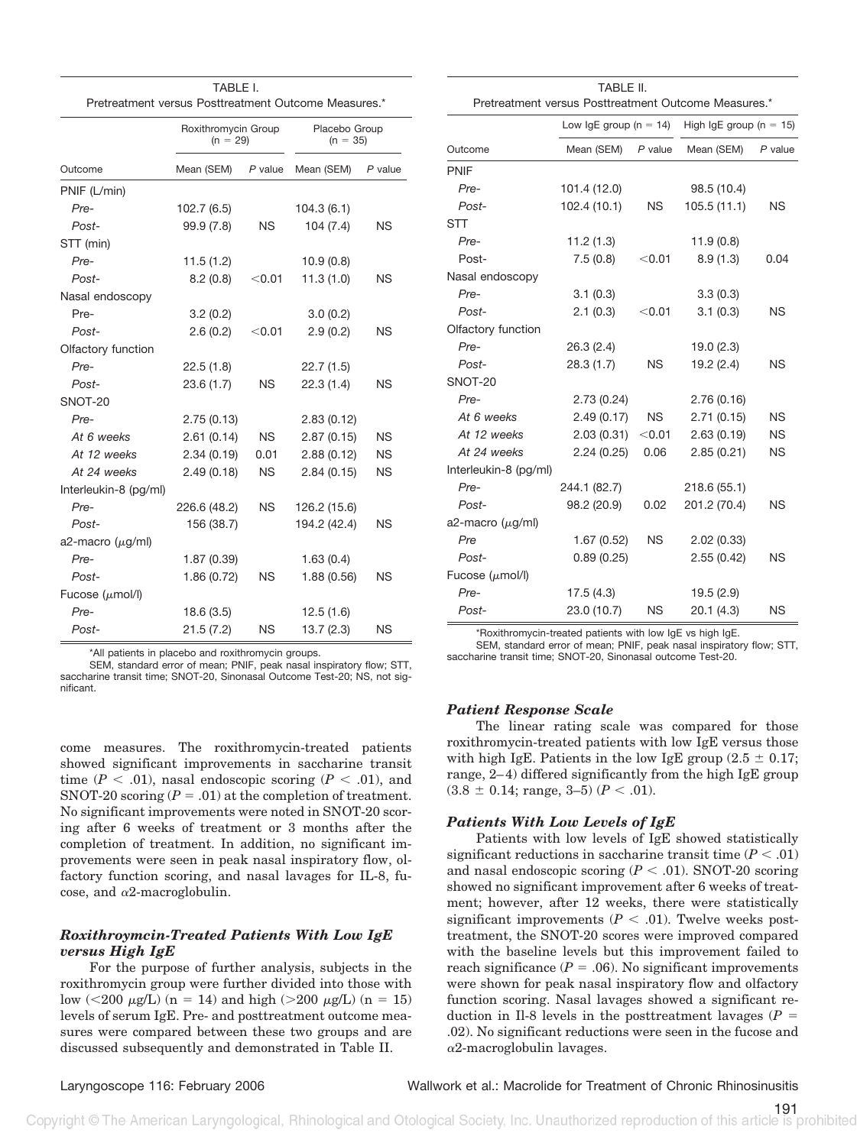| Outcome               | Roxithromycin Group<br>$(n = 29)$ |           | Placebo Group<br>$(n = 35)$ |           |
|-----------------------|-----------------------------------|-----------|-----------------------------|-----------|
|                       | Mean (SEM)                        | $P$ value | Mean (SEM)                  | $P$ value |
| PNIF (L/min)          |                                   |           |                             |           |
| Pre-                  | 102.7(6.5)                        |           | 104.3(6.1)                  |           |
| Post-                 | 99.9 (7.8)                        | <b>NS</b> | 104(7.4)                    | <b>NS</b> |
| STT (min)             |                                   |           |                             |           |
| Pre-                  | 11.5(1.2)                         |           | 10.9(0.8)                   |           |
| Post-                 | 8.2(0.8)                          | < 0.01    | 11.3(1.0)                   | <b>NS</b> |
| Nasal endoscopy       |                                   |           |                             |           |
| Pre-                  | 3.2(0.2)                          |           | 3.0(0.2)                    |           |
| Post-                 | 2.6(0.2)                          | < 0.01    | 2.9(0.2)                    | ΝS        |
| Olfactory function    |                                   |           |                             |           |
| Pre-                  | 22.5(1.8)                         |           | 22.7(1.5)                   |           |
| Post-                 | 23.6(1.7)                         | <b>NS</b> | 22.3(1.4)                   | ΝS        |
| SNOT-20               |                                   |           |                             |           |
| Pre-                  | 2.75(0.13)                        |           | 2.83(0.12)                  |           |
| At 6 weeks            | 2.61(0.14)                        | <b>NS</b> | 2.87(0.15)                  | <b>NS</b> |
| At 12 weeks           | 2.34(0.19)                        | 0.01      | 2.88(0.12)                  | <b>NS</b> |
| At 24 weeks           | 2.49(0.18)                        | <b>NS</b> | 2.84(0.15)                  | <b>NS</b> |
| Interleukin-8 (pg/ml) |                                   |           |                             |           |
| Pre-                  | 226.6 (48.2)                      | <b>NS</b> | 126.2 (15.6)                |           |
| Post-                 | 156 (38.7)                        |           | 194.2 (42.4)                | ΝS        |
| a2-macro $(\mu g/ml)$ |                                   |           |                             |           |
| Pre-                  | 1.87(0.39)                        |           | 1.63(0.4)                   |           |
| Post-                 | 1.86(0.72)                        | <b>NS</b> | 1.88(0.56)                  | ΝS        |
| Fucose $(\mu$ mol/l)  |                                   |           |                             |           |
| Pre-                  | 18.6(3.5)                         |           | 12.5(1.6)                   |           |
| Post-                 | 21.5(7.2)                         | <b>NS</b> | 13.7(2.3)                   | <b>NS</b> |

TABLE I.

\*All patients in placebo and roxithromycin groups.

SEM, standard error of mean; PNIF, peak nasal inspiratory flow; STT, saccharine transit time; SNOT-20, Sinonasal Outcome Test-20; NS, not significant.

come measures. The roxithromycin-treated patients showed significant improvements in saccharine transit time  $(P < .01)$ , nasal endoscopic scoring  $(P < .01)$ , and SNOT-20 scoring  $(P = .01)$  at the completion of treatment. No significant improvements were noted in SNOT-20 scoring after 6 weeks of treatment or 3 months after the completion of treatment. In addition, no significant improvements were seen in peak nasal inspiratory flow, olfactory function scoring, and nasal lavages for IL-8, fucose, and  $\alpha$ 2-macroglobulin.

# *Roxithroymcin-Treated Patients With Low IgE versus High IgE*

For the purpose of further analysis, subjects in the roxithromycin group were further divided into those with low (<200  $\mu$ g/L) (n = 14) and high (>200  $\mu$ g/L) (n = 15) levels of serum IgE. Pre- and posttreatment outcome measures were compared between these two groups and are discussed subsequently and demonstrated in Table II.

Pretreatment versus Posttreatment Outcome Measures.\* Outcome Low IgE group ( $n = 14$ ) High IgE group ( $n = 15$ ) Mean (SEM) *P* value Mean (SEM) *P* value PNIF *Pre-* 101.4 (12.0) 98.5 (10.4) *Post-* 102.4 (10.1) NS 105.5 (11.1) NS STT *Pre-* 11.2 (1.3) 11.9 (0.8) Post-  $7.5(0.8)$   $< 0.01$ 0.01 8.9 (1.3) 0.04 Nasal endoscopy *Pre-* 3.1 (0.3) 3.3 (0.3) *Post-* 2.1 (0.3) < 0.01  $3.1(0.3)$  NS Olfactory function *Pre-* 26.3 (2.4) 19.0 (2.3) *Post-* 28.3 (1.7) NS 19.2 (2.4) NS SNOT-20 *Pre-* 2.73 (0.24) 2.76 (0.16) *At 6 weeks* 2.49 (0.17) NS 2.71 (0.15) NS *At 12 weeks* 2.03 (0.31) < 0.01 2.63 (0.19) NS *At 24 weeks* 2.24 (0.25) 0.06 2.85 (0.21) NS Interleukin-8 (pg/ml) *Pre-* 244.1 (82.7) 218.6 (55.1) *Post-* 98.2 (20.9) 0.02 201.2 (70.4) NS a2-macro  $(\mu g/ml)$ *Pre* 1.67 (0.52) NS 2.02 (0.33) *Post-* 0.89 (0.25) 2.55 (0.42) NS Fucose  $(\mu$ mol/l) *Pre-* 17.5 (4.3) 19.5 (2.9) *Post-* 23.0 (10.7) NS 20.1 (4.3) NS

TABLE II.

\*Roxithromycin-treated patients with low IgE vs high IgE.

SEM, standard error of mean; PNIF, peak nasal inspiratory flow; STT, saccharine transit time; SNOT-20, Sinonasal outcome Test-20.

# *Patient Response Scale*

The linear rating scale was compared for those roxithromycin-treated patients with low IgE versus those with high IgE. Patients in the low IgE group  $(2.5 \pm 0.17)$ ; range,  $2-4$ ) differed significantly from the high IgE group  $(3.8 \pm 0.14; \text{ range}, 3\text{-}5)$   $(P < .01)$ .

# *Patients With Low Levels of IgE*

Patients with low levels of IgE showed statistically significant reductions in saccharine transit time  $(P < .01)$ and nasal endoscopic scoring  $(P < .01)$ . SNOT-20 scoring showed no significant improvement after 6 weeks of treatment; however, after 12 weeks, there were statistically significant improvements  $(P < .01)$ . Twelve weeks posttreatment, the SNOT-20 scores were improved compared with the baseline levels but this improvement failed to reach significance  $(P = .06)$ . No significant improvements were shown for peak nasal inspiratory flow and olfactory function scoring. Nasal lavages showed a significant reduction in Il-8 levels in the posttreatment lavages  $(P =$ .02). No significant reductions were seen in the fucose and  $\alpha$ 2-macroglobulin lavages.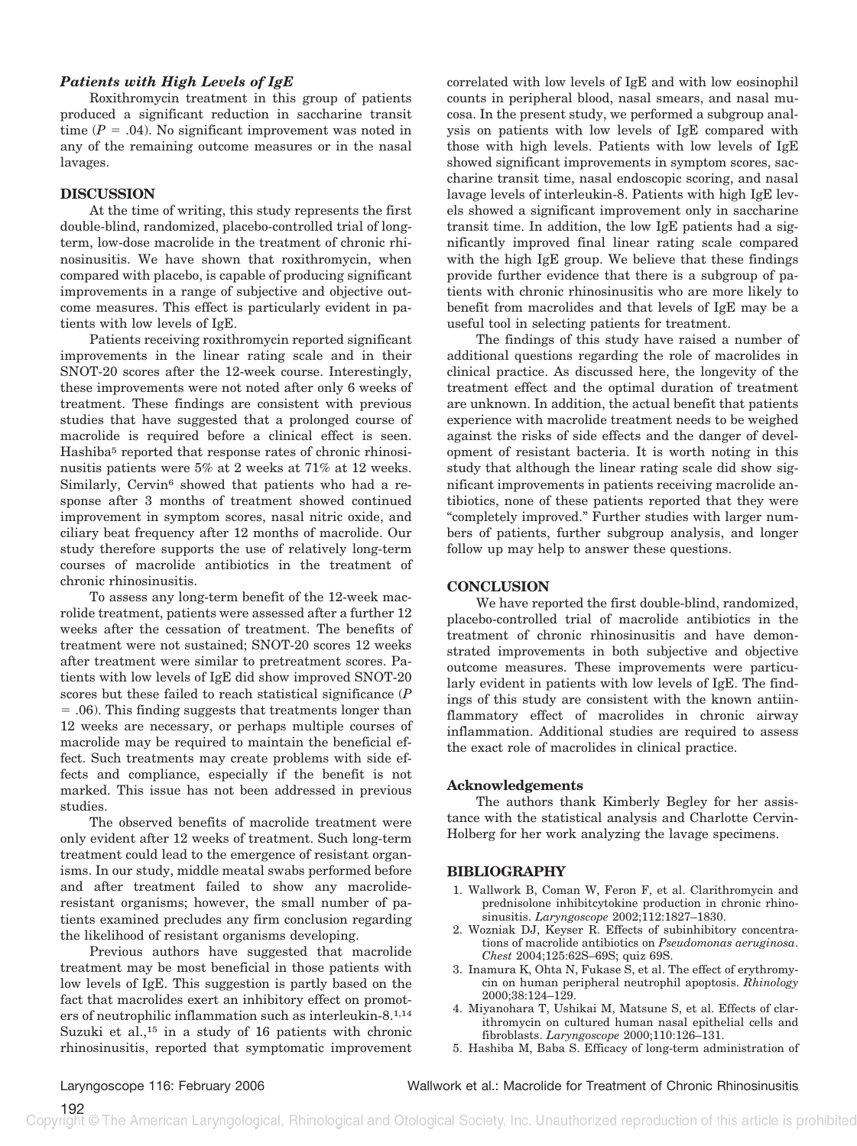# *Patients with High Levels of IgE*

Roxithromycin treatment in this group of patients produced a significant reduction in saccharine transit time  $(P = .04)$ . No significant improvement was noted in any of the remaining outcome measures or in the nasal lavages.

# **DISCUSSION**

At the time of writing, this study represents the first double-blind, randomized, placebo-controlled trial of longterm, low-dose macrolide in the treatment of chronic rhinosinusitis. We have shown that roxithromycin, when compared with placebo, is capable of producing significant improvements in a range of subjective and objective outcome measures. This effect is particularly evident in patients with low levels of IgE.

Patients receiving roxithromycin reported significant improvements in the linear rating scale and in their SNOT-20 scores after the 12-week course. Interestingly, these improvements were not noted after only 6 weeks of treatment. These findings are consistent with previous studies that have suggested that a prolonged course of macrolide is required before a clinical effect is seen. Hashiba<sup>5</sup> reported that response rates of chronic rhinosinusitis patients were 5% at 2 weeks at 71% at 12 weeks. Similarly, Cervin<sup>6</sup> showed that patients who had a response after 3 months of treatment showed continued improvement in symptom scores, nasal nitric oxide, and ciliary beat frequency after 12 months of macrolide. Our study therefore supports the use of relatively long-term courses of macrolide antibiotics in the treatment of chronic rhinosinusitis.

To assess any long-term benefit of the 12-week macrolide treatment, patients were assessed after a further 12 weeks after the cessation of treatment. The benefits of treatment were not sustained; SNOT-20 scores 12 weeks after treatment were similar to pretreatment scores. Patients with low levels of IgE did show improved SNOT-20 scores but these failed to reach statistical significance (*P*  $= .06$ ). This finding suggests that treatments longer than 12 weeks are necessary, or perhaps multiple courses of macrolide may be required to maintain the beneficial effect. Such treatments may create problems with side effects and compliance, especially if the benefit is not marked. This issue has not been addressed in previous studies.

The observed benefits of macrolide treatment were only evident after 12 weeks of treatment. Such long-term treatment could lead to the emergence of resistant organisms. In our study, middle meatal swabs performed before and after treatment failed to show any macrolideresistant organisms; however, the small number of patients examined precludes any firm conclusion regarding the likelihood of resistant organisms developing.

Previous authors have suggested that macrolide treatment may be most beneficial in those patients with low levels of IgE. This suggestion is partly based on the fact that macrolides exert an inhibitory effect on promoters of neutrophilic inflammation such as interleukin-8.1,14 Suzuki et al.,<sup>15</sup> in a study of 16 patients with chronic rhinosinusitis, reported that symptomatic improvement correlated with low levels of IgE and with low eosinophil counts in peripheral blood, nasal smears, and nasal mucosa. In the present study, we performed a subgroup analysis on patients with low levels of IgE compared with those with high levels. Patients with low levels of IgE showed significant improvements in symptom scores, saccharine transit time, nasal endoscopic scoring, and nasal lavage levels of interleukin-8. Patients with high IgE levels showed a significant improvement only in saccharine transit time. In addition, the low IgE patients had a significantly improved final linear rating scale compared with the high IgE group. We believe that these findings provide further evidence that there is a subgroup of patients with chronic rhinosinusitis who are more likely to benefit from macrolides and that levels of IgE may be a useful tool in selecting patients for treatment.

The findings of this study have raised a number of additional questions regarding the role of macrolides in clinical practice. As discussed here, the longevity of the treatment effect and the optimal duration of treatment are unknown. In addition, the actual benefit that patients experience with macrolide treatment needs to be weighed against the risks of side effects and the danger of development of resistant bacteria. It is worth noting in this study that although the linear rating scale did show significant improvements in patients receiving macrolide antibiotics, none of these patients reported that they were "completely improved." Further studies with larger numbers of patients, further subgroup analysis, and longer follow up may help to answer these questions.

# **CONCLUSION**

We have reported the first double-blind, randomized, placebo-controlled trial of macrolide antibiotics in the treatment of chronic rhinosinusitis and have demonstrated improvements in both subjective and objective outcome measures. These improvements were particularly evident in patients with low levels of IgE. The findings of this study are consistent with the known antiinflammatory effect of macrolides in chronic airway inflammation. Additional studies are required to assess the exact role of macrolides in clinical practice.

#### **Acknowledgements**

The authors thank Kimberly Begley for her assistance with the statistical analysis and Charlotte Cervin-Holberg for her work analyzing the lavage specimens.

# **BIBLIOGRAPHY**

- 1. Wallwork B, Coman W, Feron F, et al. Clarithromycin and prednisolone inhibitcytokine production in chronic rhinosinusitis. *Laryngoscope* 2002;112:1827–1830.
- 2. Wozniak DJ, Keyser R. Effects of subinhibitory concentrations of macrolide antibiotics on *Pseudomonas aeruginosa*. *Chest* 2004;125:62S–69S; quiz 69S.
- 3. Inamura K, Ohta N, Fukase S, et al. The effect of erythromycin on human peripheral neutrophil apoptosis. *Rhinology* 2000;38:124–129.
- 4. Miyanohara T, Ushikai M, Matsune S, et al. Effects of clarithromycin on cultured human nasal epithelial cells and fibroblasts. *Laryngoscope* 2000;110:126–131.
- 5. Hashiba M, Baba S. Efficacy of long-term administration of